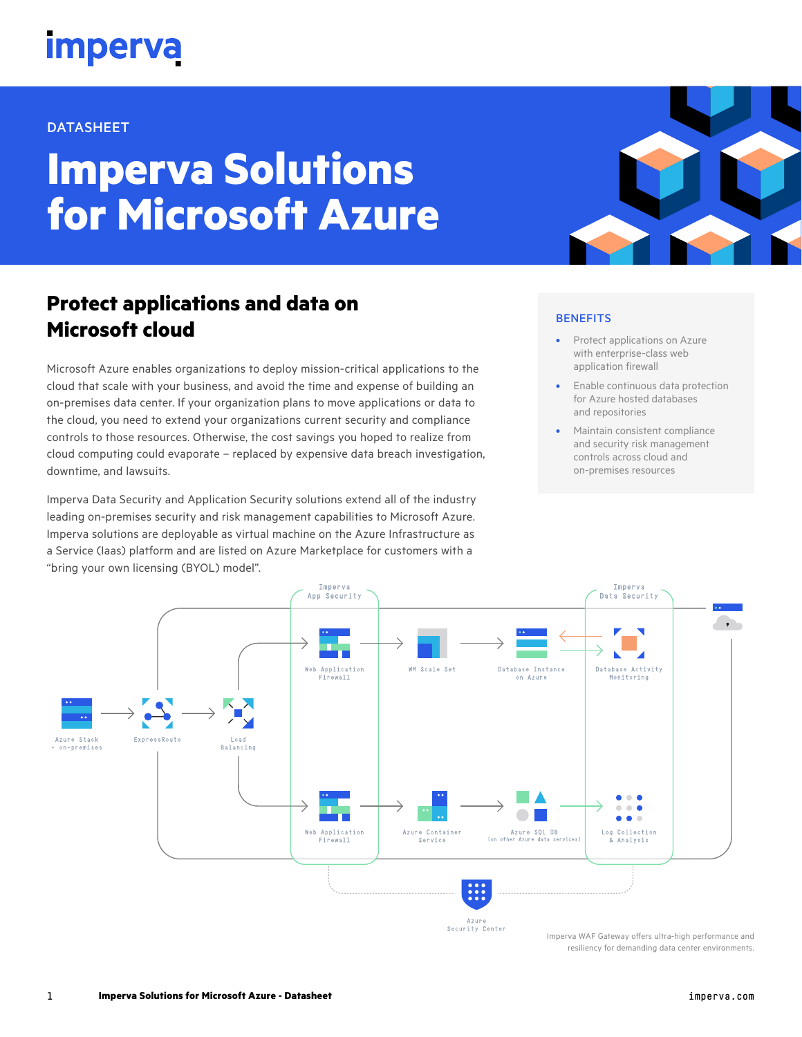## **imperva**

### DATASHEET

# **Imperva Solutions for Microsoft Azure**

## **Protect applications and data on Microsoft cloud**

Microsoft Azure enables organizations to deploy mission-critical applications to the cloud that scale with your business, and avoid the time and expense of building an on-premises data center. If your organization plans to move applications or data to the cloud, you need to extend your organizations current security and compliance controls to those resources. Otherwise, the cost savings you hoped to realize from cloud computing could evaporate – replaced by expensive data breach investigation, downtime, and lawsuits.

Imperva Data Security and Application Security solutions extend all of the industry leading on-premises security and risk management capabilities to Microsoft Azure. Imperva solutions are deployable as virtual machine on the Azure Infrastructure as a Service (Iaas) platform and are listed on Azure Marketplace for customers with a "bring your own licensing (BYOL) model".

## **BENEFITS**

- Protect applications on Azure with enterprise-class web application firewall
- Enable continuous data protection for Azure hosted databases and repositories
- Maintain consistent compliance and security risk management controls across cloud and on-premises resources



1 **Imperva Solutions for Microsoft Azure - Datasheet**